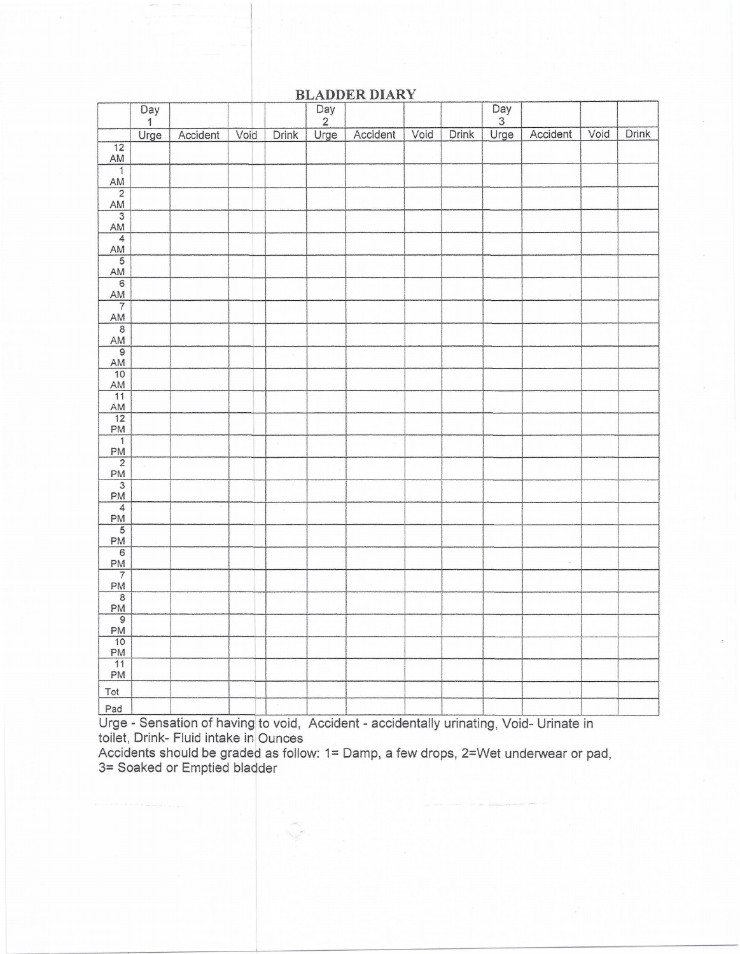## **BLADDER DIARY**

|                                                                                                                                                                                                                                                                                                                                                                                                                        | $\overline{Day}$ |          |      |                    | $\frac{Day}{2}$ | $\frac{1}{2}$                                                                                                                                                                                                                  |      |       | $\begin{array}{c}\n\hline\n\text{Day} \\ 3 \\ \text{Urge}\n\end{array}$ |          |      |       |
|------------------------------------------------------------------------------------------------------------------------------------------------------------------------------------------------------------------------------------------------------------------------------------------------------------------------------------------------------------------------------------------------------------------------|------------------|----------|------|--------------------|-----------------|--------------------------------------------------------------------------------------------------------------------------------------------------------------------------------------------------------------------------------|------|-------|-------------------------------------------------------------------------|----------|------|-------|
|                                                                                                                                                                                                                                                                                                                                                                                                                        | Urge             | Accident | Void | Drink              | Urge            | Accident                                                                                                                                                                                                                       | Void | Drink |                                                                         | Accident | Void | Drink |
| $\overline{12}$                                                                                                                                                                                                                                                                                                                                                                                                        |                  |          |      |                    |                 |                                                                                                                                                                                                                                |      |       |                                                                         |          |      |       |
| AM                                                                                                                                                                                                                                                                                                                                                                                                                     |                  |          |      |                    |                 |                                                                                                                                                                                                                                |      |       |                                                                         |          |      |       |
|                                                                                                                                                                                                                                                                                                                                                                                                                        |                  |          |      |                    |                 |                                                                                                                                                                                                                                |      |       |                                                                         |          |      |       |
|                                                                                                                                                                                                                                                                                                                                                                                                                        |                  |          |      |                    |                 |                                                                                                                                                                                                                                |      |       |                                                                         |          |      |       |
|                                                                                                                                                                                                                                                                                                                                                                                                                        |                  |          |      |                    |                 |                                                                                                                                                                                                                                |      |       |                                                                         |          |      |       |
|                                                                                                                                                                                                                                                                                                                                                                                                                        |                  |          |      |                    |                 |                                                                                                                                                                                                                                |      |       |                                                                         |          |      |       |
|                                                                                                                                                                                                                                                                                                                                                                                                                        |                  |          |      |                    |                 |                                                                                                                                                                                                                                |      |       |                                                                         |          |      |       |
|                                                                                                                                                                                                                                                                                                                                                                                                                        |                  |          |      |                    |                 |                                                                                                                                                                                                                                |      |       |                                                                         |          |      |       |
|                                                                                                                                                                                                                                                                                                                                                                                                                        |                  |          |      |                    |                 |                                                                                                                                                                                                                                |      |       |                                                                         |          |      |       |
|                                                                                                                                                                                                                                                                                                                                                                                                                        |                  |          |      |                    |                 |                                                                                                                                                                                                                                |      |       |                                                                         |          |      |       |
|                                                                                                                                                                                                                                                                                                                                                                                                                        |                  |          |      |                    |                 |                                                                                                                                                                                                                                |      |       |                                                                         |          |      |       |
|                                                                                                                                                                                                                                                                                                                                                                                                                        |                  |          |      |                    |                 |                                                                                                                                                                                                                                |      |       |                                                                         |          |      |       |
|                                                                                                                                                                                                                                                                                                                                                                                                                        |                  |          |      |                    |                 |                                                                                                                                                                                                                                |      |       |                                                                         |          |      |       |
|                                                                                                                                                                                                                                                                                                                                                                                                                        |                  |          |      |                    |                 |                                                                                                                                                                                                                                |      |       |                                                                         |          |      |       |
|                                                                                                                                                                                                                                                                                                                                                                                                                        |                  |          |      |                    |                 |                                                                                                                                                                                                                                |      |       |                                                                         |          |      |       |
|                                                                                                                                                                                                                                                                                                                                                                                                                        |                  |          |      |                    |                 |                                                                                                                                                                                                                                |      |       |                                                                         |          |      |       |
|                                                                                                                                                                                                                                                                                                                                                                                                                        |                  |          |      |                    |                 |                                                                                                                                                                                                                                |      |       |                                                                         |          |      |       |
|                                                                                                                                                                                                                                                                                                                                                                                                                        |                  |          |      | $\hat{\mathbf{x}}$ |                 |                                                                                                                                                                                                                                |      |       |                                                                         |          |      |       |
|                                                                                                                                                                                                                                                                                                                                                                                                                        |                  |          |      |                    |                 |                                                                                                                                                                                                                                |      |       |                                                                         |          |      |       |
|                                                                                                                                                                                                                                                                                                                                                                                                                        |                  |          |      |                    |                 |                                                                                                                                                                                                                                |      |       |                                                                         |          |      |       |
|                                                                                                                                                                                                                                                                                                                                                                                                                        |                  |          |      |                    |                 |                                                                                                                                                                                                                                |      |       |                                                                         |          |      |       |
|                                                                                                                                                                                                                                                                                                                                                                                                                        |                  |          |      |                    |                 |                                                                                                                                                                                                                                |      |       |                                                                         |          |      |       |
|                                                                                                                                                                                                                                                                                                                                                                                                                        |                  |          |      |                    |                 |                                                                                                                                                                                                                                |      |       |                                                                         |          |      |       |
|                                                                                                                                                                                                                                                                                                                                                                                                                        |                  |          |      |                    |                 |                                                                                                                                                                                                                                |      |       |                                                                         |          |      |       |
|                                                                                                                                                                                                                                                                                                                                                                                                                        |                  |          |      |                    |                 |                                                                                                                                                                                                                                |      |       |                                                                         |          |      |       |
|                                                                                                                                                                                                                                                                                                                                                                                                                        |                  |          |      |                    |                 |                                                                                                                                                                                                                                |      |       |                                                                         |          |      |       |
|                                                                                                                                                                                                                                                                                                                                                                                                                        |                  |          |      |                    |                 |                                                                                                                                                                                                                                |      |       |                                                                         |          |      |       |
|                                                                                                                                                                                                                                                                                                                                                                                                                        |                  |          |      |                    |                 |                                                                                                                                                                                                                                |      |       |                                                                         |          |      |       |
| $\begin{array}{c c} 1\\ \hline 1\\ \hline 2\\ \hline 1\\ \hline 2\\ \hline 3\\ \hline 3\\ \hline 4\\ \hline 4\\ \hline 4\\ \hline 4\\ \hline 5\\ \hline 6\\ \hline 4\\ \hline 4\\ \hline 7\\ \hline 8\\ \hline 8\\ \hline 4\\ \hline 4\\ \hline 1\\ \hline 1\\ \hline 2\\ \hline 1\\ \hline 4\\ \hline 4\\ \hline 4\\ \hline 2\\ \hline 1\\ \hline 4\\ \hline 4\\ \hline 5\\ \hline 6\\ \hline 9\\ \hline 1\\ \hline $ |                  |          |      |                    |                 |                                                                                                                                                                                                                                |      |       |                                                                         |          |      |       |
|                                                                                                                                                                                                                                                                                                                                                                                                                        |                  |          |      |                    |                 |                                                                                                                                                                                                                                |      |       |                                                                         |          |      |       |
|                                                                                                                                                                                                                                                                                                                                                                                                                        |                  |          |      |                    |                 |                                                                                                                                                                                                                                |      |       |                                                                         |          |      |       |
| Tot                                                                                                                                                                                                                                                                                                                                                                                                                    |                  |          |      |                    |                 |                                                                                                                                                                                                                                |      |       |                                                                         |          |      |       |
| Pad                                                                                                                                                                                                                                                                                                                                                                                                                    |                  |          |      |                    |                 | $Q_1$ and $Q_2$ is a set of the set of $Q_1$ and $Q_2$ is a set of the set of $Q_1$ and $Q_2$ is a set of $Q_1$ and $Q_2$ is a set of $Q_1$ and $Q_2$ is a set of $Q_1$ and $Q_2$ is a set of $Q_1$ and $Q_2$ is a set of $Q_$ |      |       |                                                                         |          |      |       |

Urge - Sensation of having to void, Accident - accidentally urinating , Void- Urinate in toilet, Drink- Fluid intake in Ounces

Accidents should be graded as follow: 1= Damp, a few drops, 2=Wet underwear or pad, 3= Soaked or Emptied bladder